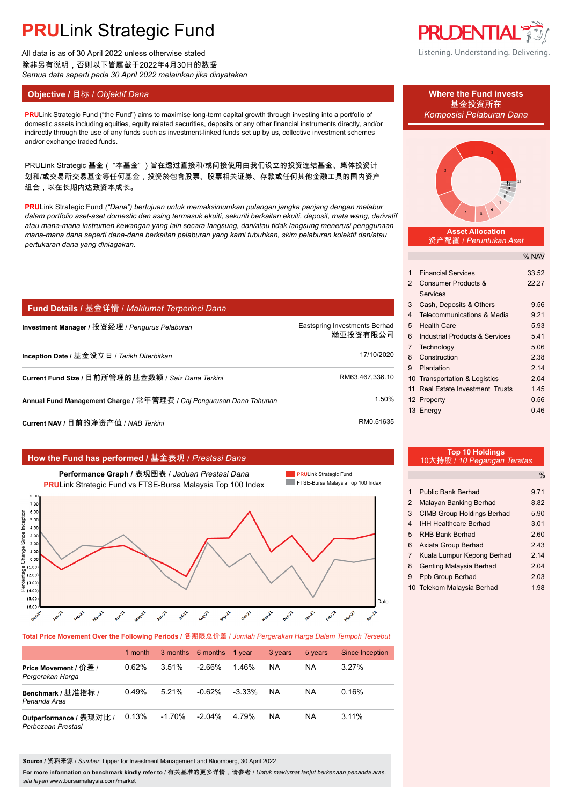# **PRU**Link Strategic Fund

All data is as of 30 April 2022 unless otherwise stated 除非另有说明,否则以下皆属截于2022年4月30日的数据 *Semua data seperti pada 30 April 2022 melainkan jika dinyatakan*

## **Objective /** 目标 / *Objektif Dana* **Where the Fund invests**

**PRU**Link Strategic Fund ("the Fund") aims to maximise long-term capital growth through investing into a portfolio of *Komposisi Pelaburan Dana* domestic assets including equities, equity related securities, deposits or any other financial instruments directly, and/or indirectly through the use of any funds such as investment-linked funds set up by us, collective investment schemes and/or exchange traded funds.

PRULink Strategic 基金( "本基金" )旨在透过直接和/或间接使用由我们设立的投资连结基金、集体投资计 划和/或交易所交易基金等任何基金,投资於包含股票、股票相关证券、存款或任何其他金融工具的国内资产 组合,以在长期内达致资本成长。

**PRU**Link Strategic Fund *("Dana") bertujuan untuk memaksimumkan pulangan jangka panjang dengan melabur dalam portfolio aset-aset domestic dan asing termasuk ekuiti, sekuriti berkaitan ekuiti, deposit, mata wang, derivatif atau mana-mana instrumen kewangan yang lain secara langsung, dan/atau tidak langsung menerusi penggunaan mana-mana dana seperti dana-dana berkaitan pelaburan yang kami tubuhkan, skim pelaburan kolektif dan/atau pertukaran dana yang diniagakan.*

## **Fund Details /** 基金详情 / *Maklumat Terperinci Dana*

| Investment Manager / 投资经理 / Pengurus Pelaburan                      | Eastspring Investments Berhad<br>瀚亚投资有限公司 |
|---------------------------------------------------------------------|-------------------------------------------|
| Inception Date / 基金设立日 / Tarikh Diterbitkan                         | 17/10/2020                                |
| Current Fund Size / 目前所管理的基金数额 / Saiz Dana Terkini                  | RM63,467,336.10                           |
| Annual Fund Management Charge / 常年管理费 / Caj Pengurusan Dana Tahunan | 1.50%                                     |
|                                                                     | <b>RMO 51635</b>                          |

**Current NAV / 日前的净资产值 / NAB Terkini** 

### **How the Fund has performed /** 基金表现 / *Prestasi Dana*



**Total Price Movement Over the Following Periods /** 各期限总价差 / *Jumlah Pergerakan Harga Dalam Tempoh Tersebut*

|                                               | 1 month |          | 3 months 6 months 1 year |           | 3 years | 5 years | Since Inception |
|-----------------------------------------------|---------|----------|--------------------------|-----------|---------|---------|-----------------|
| Price Movement / 价差 /<br>Pergerakan Harga     | 0.62%   | 3.51%    | -2.66%                   | 1.46%     | NA      | ΝA      | $3.27\%$        |
| Benchmark / 基准指标 /<br>Penanda Aras            | 0.49%   | 5.21%    | $-0.62%$                 | $-3.33\%$ | NA      | ΝA      | 0.16%           |
| Outperformance / 表现对比 /<br>Perbezaan Prestasi | 0.13%   | $-1.70%$ | $-2.04\%$                | 4 79%     | NA      | ΝA      | $3.11\%$        |

**Source /** 资料来源 / *Sumber*: Lipper for Investment Management and Bloomberg, 30 April 2022

**For more information on benchmark kindly refer to** / 有关基准的更多详情,请参考 / *Untuk maklumat lanjut berkenaan penanda aras, sila layari* www.bursamalaysia.com/market



Listening. Understanding. Delivering.

基金投资所在



### **Asset Allocation** 资产配置 / *Peruntukan Aset*

|               |                                      | % NAV |
|---------------|--------------------------------------|-------|
|               |                                      |       |
| 1             | <b>Financial Services</b>            | 33.52 |
| $\mathcal{P}$ | Consumer Products &                  | 22.27 |
|               | <b>Services</b>                      |       |
| 3             | Cash, Deposits & Others              | 9.56  |
| 4             | Telecommunications & Media           | 9.21  |
| 5             | <b>Health Care</b>                   | 5.93  |
| 6             | Industrial Products & Services       | 5.41  |
| 7             | Technology                           | 5.06  |
| 8             | Construction                         | 2.38  |
| 9             | Plantation                           | 2.14  |
|               | 10 Transportation & Logistics        | 2.04  |
| 11            | <b>Real Estate Investment Trusts</b> | 1.45  |
|               | 12 Property                          | 0.56  |
|               | 13 Energy                            | 0.46  |
|               |                                      |       |

| <b>Top 10 Holdings</b>      |  |
|-----------------------------|--|
| 10大持股 / 10 Pegangan Teratas |  |
|                             |  |

|                |                                   | $\frac{0}{0}$ |
|----------------|-----------------------------------|---------------|
|                |                                   |               |
| 1              | Public Bank Berhad                | 9.71          |
| 2              | Malayan Banking Berhad            | 8.82          |
| 3              | <b>CIMB Group Holdings Berhad</b> | 5.90          |
| 4              | <b>IHH Healthcare Berhad</b>      | 3.01          |
| 5              | <b>RHB Bank Berhad</b>            | 2.60          |
| 6              | Axiata Group Berhad               | 243           |
| $\overline{7}$ | Kuala Lumpur Kepong Berhad        | 214           |
| 8              | <b>Genting Malaysia Berhad</b>    | 2.04          |
| 9              | Ppb Group Berhad                  | 2.03          |
|                | 10 Telekom Malaysia Berhad        | 1.98          |
|                |                                   |               |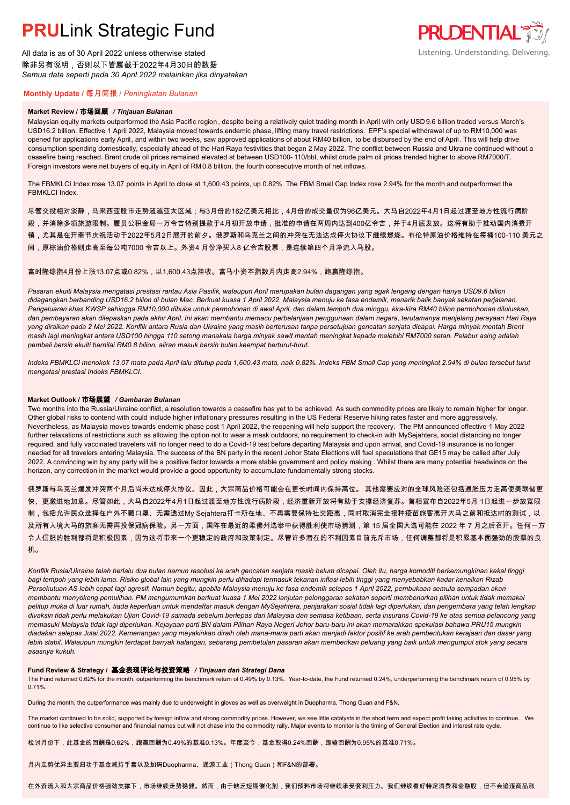## **PRU**Link Strategic Fund

All data is as of 30 April 2022 unless otherwise stated 除非另有说明,否则以下皆属截于2022年4月30日的数据 *Semua data seperti pada 30 April 2022 melainkan jika dinyatakan*

## **PRUDENTIAL 35** Listening. Understanding. Delivering.

## **Monthly Update /** 每月简报 / *Peningkatan Bulanan*

### **Market Review /** 市场回顾 */ Tinjauan Bulanan*

Malaysian equity markets outperformed the Asia Pacific region , despite being a relatively quiet trading month in April with only USD 9.6 billion traded versus March's USD16.2 billion. Effective 1 April 2022, Malaysia moved towards endemic phase, lifting many travel restrictions. EPF's special withdrawal of up to RM10,000 was opened for applications early April, and within two weeks, saw approved applications of about RM40 billion, to be disbursed by the end of April. This will help drive consumption spending domestically, especially ahead of the Hari Raya festivities that began 2 May 2022. The conflict between Russia and Ukraine continued without a ceasefire being reached. Brent crude oil prices remained elevated at between USD100- 110/bbl, whilst crude palm oil prices trended higher to above RM7000/T. Foreign investors were net buyers of equity in April of RM0.8 billion, the fourth consecutive month of net inflows.

The FBMKLCI Index rose 13.07 points in April to close at 1,600.43 points, up 0.82%. The FBM Small Cap Index rose 2.94% for the month and outperformed the FBMKLCI Index.

尽管交投相对淡静,马来西亚股市走势超越亚太区域;与3月份的162亿美元相比,4月份的成交量仅为96亿美元。大马自2022年4月1日起过渡至地方性流行病阶 段,并消除多项旅游限制。雇员公积金局一万令吉特别提款于4月初开放申请,批准的申请在两周内达到400亿令吉,并于4月底发放。这将有助于推动国内消费开 销,尤其是在开斋节庆祝活动于2022年5月2日展开的前夕。俄罗斯和乌克兰之间的冲突在无法达成停火协议下继续燃烧。布伦特原油价格维持在每桶100-110 美元之 间,原棕油价格则走高至每公吨7000 令吉以上。外资4 月份净买入8 亿令吉股票,是连续第四个月净流入马股。

富时隆综指4月份上涨13.07点或0.82%,以1,600.43点挂收。富马小资本指数月内走高2.94%,跑赢隆综指。

*Pasaran ekuiti Malaysia mengatasi prestasi rantau Asia Pasifik, walaupun April merupakan bulan dagangan yang agak lengang dengan hanya USD9.6 bilion didagangkan berbanding USD16.2 bilion di bulan Mac. Berkuat kuasa 1 April 2022, Malaysia menuju ke fasa endemik, menarik balik banyak sekatan perjalanan. Pengeluaran khas KWSP sehingga RM10,000 dibuka untuk permohonan di awal April, dan dalam tempoh dua minggu, kira-kira RM40 bilion permohonan diluluskan, dan pembayaran akan dilepaskan pada akhir April. Ini akan membantu memacu perbelanjaan penggunaan dalam negara, terutamanya menjelang perayaan Hari Raya yang diraikan pada 2 Mei 2022. Konflik antara Rusia dan Ukraine yang masih berterusan tanpa persetujuan gencatan senjata dicapai. Harga minyak mentah Brent masih lagi meningkat antara USD100 hingga 110 setong manakala harga minyak sawit mentah meningkat kepada melebihi RM7000 setan. Pelabur asing adalah pembeli bersih ekuiti bernilai RM0.8 bilion, aliran masuk bersih bulan keempat berturut-turut.*

*Indeks FBMKLCI menokok 13.07 mata pada April lalu ditutup pada 1,600.43 mata, naik 0.82%. Indeks FBM Small Cap yang meningkat 2.94% di bulan tersebut turut mengatasi prestasi Indeks FBMKLCI.*

### **Market Outlook /** 市场展望 */ Gambaran Bulanan*

Two months into the Russia/Ukraine conflict, a resolution towards a ceasefire has yet to be achieved. As such commodity prices are likely to remain higher for longer. Other global risks to contend with could include higher inflationary pressures resulting in the US Federal Reserve hiking rates faster and more aggressively. Nevertheless, as Malaysia moves towards endemic phase post 1 April 2022, the reopening will help support the recovery. The PM announced effective 1 May 2022 further relaxations of restrictions such as allowing the option not to wear a mask outdoors, no requirement to check-in with MySejahtera, social distancing no longer required, and fully vaccinated travelers will no longer need to do a Covid-19 test before departing Malaysia and upon arrival, and Covid-19 insurance is no longer needed for all travelers entering Malaysia. The success of the BN party in the recent Johor State Elections will fuel speculations that GE15 may be called after July 2022. A convincing win by any party will be a positive factor towards a more stable government and policy making . Whilst there are many potential headwinds on the horizon, any correction in the market would provide a good opportunity to accumulate fundamentally strong stocks.

俄罗斯与乌克兰爆发冲突两个月后尚未达成停火协议。因此,大宗商品价格可能会在更长时间内保持高位。 其他需要应对的全球风险还包括通胀压力走高使美联储更 快、更激进地加息。尽管如此,大马自2022年4月1日起过渡至地方性流行病阶段,经济重新开放将有助于支撑经济复苏。首相宣布自2022年5月 1日起进一步放宽限 制,包括允许民众选择在户外不戴口罩、无需透过My Sejahtera打卡所在地、不再需要保持社交距离,同时取消完全接种疫苗旅客离开大马之前和抵达时的测试,以 及所有入境大马的旅客无需再投保冠病保险。另一方面,国阵在最近的柔佛州选举中获得胜利使市场猜测,第 15 届全国大选可能在 2022 年 7 月之后召开。任何一方 令人信服的胜利都将是积极因素,因为这将带来一个更稳定的政府和政策制定。尽管许多潜在的不利因素目前充斥市场,任何调整都将是积累基本面强劲的股票的良 机。

*Konflik Rusia/Ukraine telah berlalu dua bulan namun resolusi ke arah gencatan senjata masih belum dicapai. Oleh itu, harga komoditi berkemungkinan kekal tinggi bagi tempoh yang lebih lama. Risiko global lain yang mungkin perlu dihadapi termasuk tekanan inflasi lebih tinggi yang menyebabkan kadar kenaikan Rizab Persekutuan AS lebih cepat lagi agresif. Namun begitu, apabila Malaysia menuju ke fasa endemik selepas 1 April 2022, pembukaan semula sempadan akan membantu menyokong pemulihan. PM mengumumkan berkuat kuasa 1 Mei 2022 lanjutan pelonggaran sekatan seperti membenarkan pilihan untuk tidak memakai pelitup muka di luar rumah, tiada keperluan untuk mendaftar masuk dengan MySejahtera, penjarakan sosial tidak lagi diperlukan, dan pengembara yang telah lengkap divaksin tidak perlu melakukan Ujian Covid-19 samada sebelum berlepas dari Malaysia dan semasa ketibaan, serta insurans Covid-19 ke atas semua pelancong yang memasuki Malaysia tidak lagi diperlukan. Kejayaan parti BN dalam Pilihan Raya Negeri Johor baru-baru ini akan memarakkan spekulasi bahawa PRU15 mungkin diadakan selepas Julai 2022. Kemenangan yang meyakinkan diraih oleh mana-mana parti akan menjadi faktor positif ke arah pembentukan kerajaan dan dasar yang lebih stabil. Walaupun mungkin terdapat banyak halangan, sebarang pembetulan pasaran akan memberikan peluang yang baik untuk mengumpul stok yang secara asasnya kukuh.*

#### **Fund Review & Strategy /** 基金表现评论与投资策略 */ Tinjauan dan Strategi Dana*

The Fund returned 0.62% for the month, outperforming the benchmark return of 0.49% by 0.13%. Year-to-date, the Fund returned 0.24%, underperforming the benchmark return of 0.95% by *.* 0.71%.

During the month, the outperformance was mainly due to underweight in gloves as well as overweight in Duopharma, Thong Guan and F&N.

The market continued to be solid, supported by foreign inflow and strong commodity prices. However, we see little catalysts in the short term and expect profit taking activities to continue. We continue to like selective consumer and financial names but will not chase into the commodity rally. Major events to monitor is the timing of General Election and interest rate cycle.

检讨月份下,此基金的回酬是0.62%,跑赢回酬为0.49%的基准0.13%。年度至今,基金取得0.24%回酬,跑输回酬为0.95%的基准0.71%。

月内走势优异主要归功于基金减持手套以及加码Duopharma、通源工业(Thong Guan)和F&N的部署。